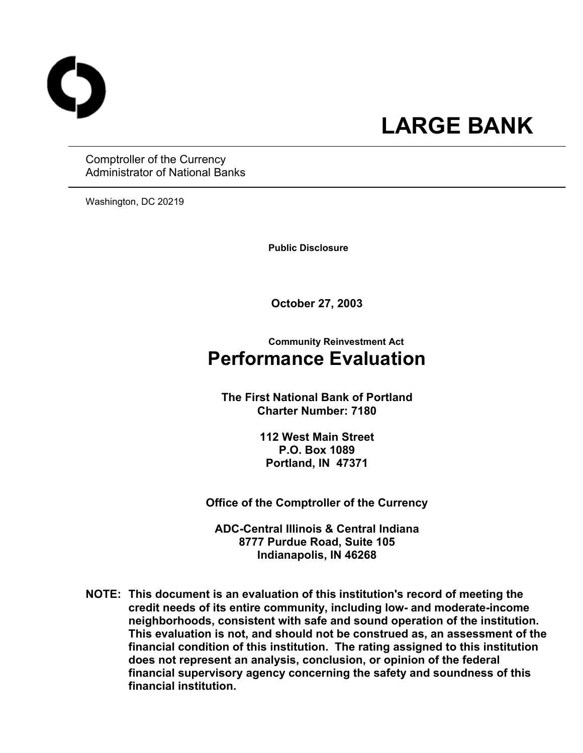

# **LARGE BANK**

Comptroller of the Currency Administrator of National Banks

Washington, DC 20219

 **Public Disclosure** 

**October 27, 2003** 

### **Community Reinvestment Act Performance Evaluation**

**The First National Bank of Portland Charter Number: 7180** 

> **112 West Main Street P.O. Box 1089 Portland, IN 47371**

**Office of the Comptroller of the Currency** 

**ADC-Central Illinois & Central Indiana 8777 Purdue Road, Suite 105 Indianapolis, IN 46268** 

**NOTE: This document is an evaluation of this institution's record of meeting the credit needs of its entire community, including low- and moderate-income neighborhoods, consistent with safe and sound operation of the institution.** **This evaluation is not, and should not be construed as, an assessment of the financial condition of this institution. The rating assigned to this institution does not represent an analysis, conclusion, or opinion of the federal financial supervisory agency concerning the safety and soundness of this financial institution.**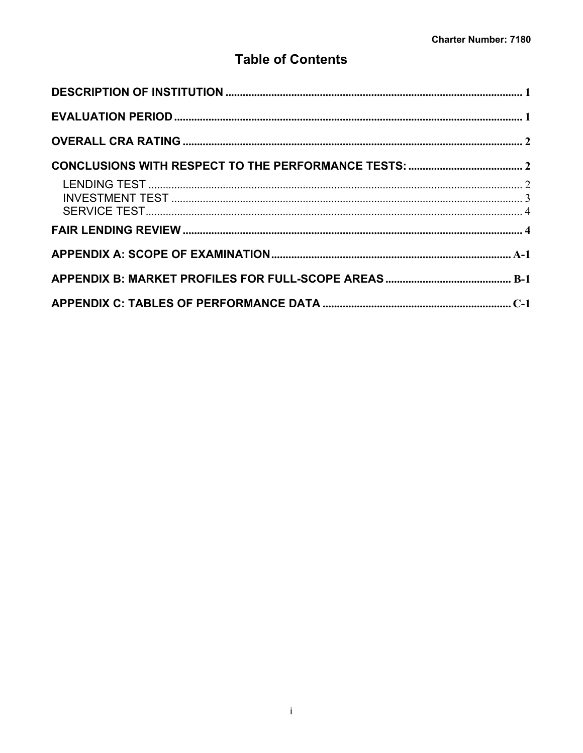### **Table of Contents**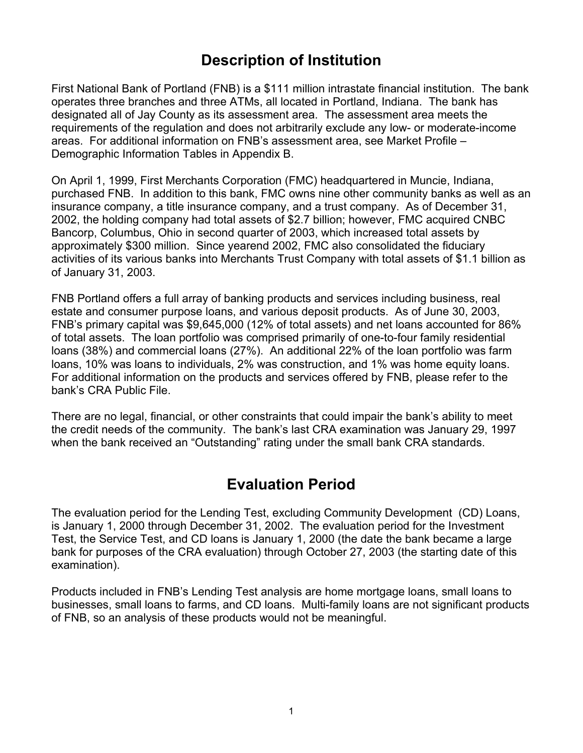# **Description of Institution**

<span id="page-2-0"></span>First National Bank of Portland (FNB) is a \$111 million intrastate financial institution. The bank operates three branches and three ATMs, all located in Portland, Indiana. The bank has designated all of Jay County as its assessment area. The assessment area meets the requirements of the regulation and does not arbitrarily exclude any low- or moderate-income areas. For additional information on FNB's assessment area, see Market Profile – Demographic Information Tables in Appendix B.

On April 1, 1999, First Merchants Corporation (FMC) headquartered in Muncie, Indiana, purchased FNB. In addition to this bank, FMC owns nine other community banks as well as an insurance company, a title insurance company, and a trust company. As of December 31, 2002, the holding company had total assets of \$2.7 billion; however, FMC acquired CNBC Bancorp, Columbus, Ohio in second quarter of 2003, which increased total assets by approximately \$300 million. Since yearend 2002, FMC also consolidated the fiduciary activities of its various banks into Merchants Trust Company with total assets of \$1.1 billion as of January 31, 2003.

FNB Portland offers a full array of banking products and services including business, real estate and consumer purpose loans, and various deposit products. As of June 30, 2003, FNB's primary capital was \$9,645,000 (12% of total assets) and net loans accounted for 86% of total assets. The loan portfolio was comprised primarily of one-to-four family residential loans (38%) and commercial loans (27%). An additional 22% of the loan portfolio was farm loans, 10% was loans to individuals, 2% was construction, and 1% was home equity loans. For additional information on the products and services offered by FNB, please refer to the bank's CRA Public File.

There are no legal, financial, or other constraints that could impair the bank's ability to meet the credit needs of the community. The bank's last CRA examination was January 29, 1997 when the bank received an "Outstanding" rating under the small bank CRA standards.

## **Evaluation Period**

The evaluation period for the Lending Test, excluding Community Development (CD) Loans, is January 1, 2000 through December 31, 2002. The evaluation period for the Investment Test, the Service Test, and CD loans is January 1, 2000 (the date the bank became a large bank for purposes of the CRA evaluation) through October 27, 2003 (the starting date of this examination).

Products included in FNB's Lending Test analysis are home mortgage loans, small loans to businesses, small loans to farms, and CD loans. Multi-family loans are not significant products of FNB, so an analysis of these products would not be meaningful.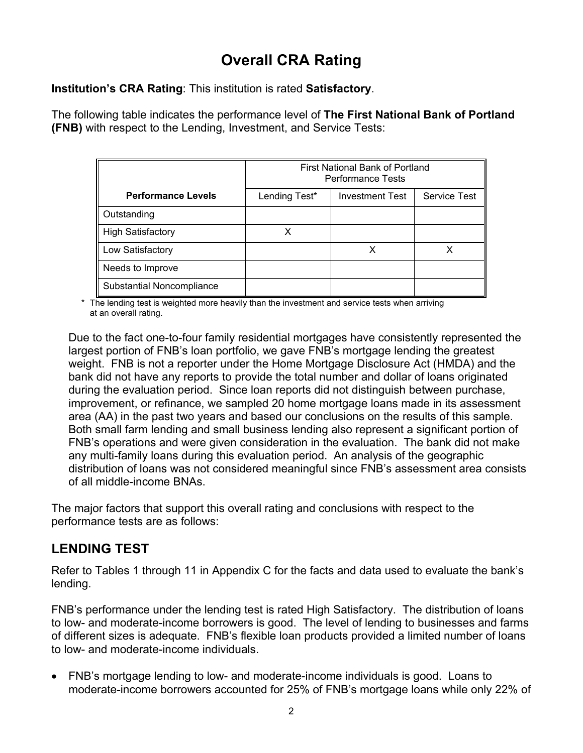# **Overall CRA Rating**

<span id="page-3-0"></span>**Institution's CRA Rating**: This institution is rated **Satisfactory**.

The following table indicates the performance level of **The First National Bank of Portland (FNB)** with respect to the Lending, Investment, and Service Tests:

|                           |               | First National Bank of Portland<br><b>Performance Tests</b> |                     |
|---------------------------|---------------|-------------------------------------------------------------|---------------------|
| <b>Performance Levels</b> | Lending Test* | <b>Investment Test</b>                                      | <b>Service Test</b> |
| Outstanding               |               |                                                             |                     |
| <b>High Satisfactory</b>  |               |                                                             |                     |
| Low Satisfactory          |               |                                                             |                     |
| Needs to Improve          |               |                                                             |                     |
| Substantial Noncompliance |               |                                                             |                     |

\* The lending test is weighted more heavily than the investment and service tests when arriving at an overall rating.

Due to the fact one-to-four family residential mortgages have consistently represented the largest portion of FNB's loan portfolio, we gave FNB's mortgage lending the greatest weight. FNB is not a reporter under the Home Mortgage Disclosure Act (HMDA) and the bank did not have any reports to provide the total number and dollar of loans originated during the evaluation period. Since loan reports did not distinguish between purchase, improvement, or refinance, we sampled 20 home mortgage loans made in its assessment area (AA) in the past two years and based our conclusions on the results of this sample. Both small farm lending and small business lending also represent a significant portion of FNB's operations and were given consideration in the evaluation. The bank did not make any multi-family loans during this evaluation period. An analysis of the geographic distribution of loans was not considered meaningful since FNB's assessment area consists of all middle-income BNAs.

The major factors that support this overall rating and conclusions with respect to the performance tests are as follows:

### **LENDING TEST**

Refer to Tables 1 through 11 in Appendix C for the facts and data used to evaluate the bank's lending.

FNB's performance under the lending test is rated High Satisfactory. The distribution of loans to low- and moderate-income borrowers is good. The level of lending to businesses and farms of different sizes is adequate. FNB's flexible loan products provided a limited number of loans to low- and moderate-income individuals.

• FNB's mortgage lending to low- and moderate-income individuals is good. Loans to moderate-income borrowers accounted for 25% of FNB's mortgage loans while only 22% of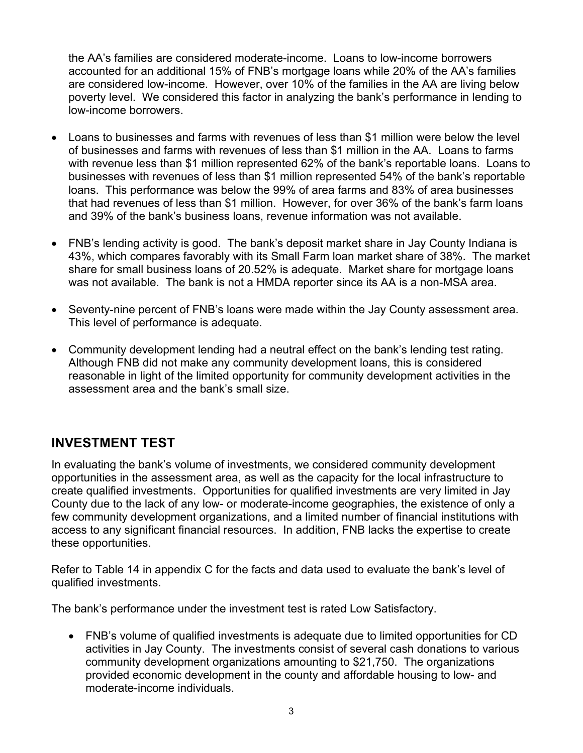<span id="page-4-0"></span>the AA's families are considered moderate-income. Loans to low-income borrowers accounted for an additional 15% of FNB's mortgage loans while 20% of the AA's families are considered low-income. However, over 10% of the families in the AA are living below poverty level. We considered this factor in analyzing the bank's performance in lending to low-income borrowers.

- Loans to businesses and farms with revenues of less than \$1 million were below the level of businesses and farms with revenues of less than \$1 million in the AA. Loans to farms with revenue less than \$1 million represented 62% of the bank's reportable loans. Loans to businesses with revenues of less than \$1 million represented 54% of the bank's reportable loans. This performance was below the 99% of area farms and 83% of area businesses that had revenues of less than \$1 million. However, for over 36% of the bank's farm loans and 39% of the bank's business loans, revenue information was not available.
- FNB's lending activity is good. The bank's deposit market share in Jay County Indiana is 43%, which compares favorably with its Small Farm loan market share of 38%. The market share for small business loans of 20.52% is adequate. Market share for mortgage loans was not available. The bank is not a HMDA reporter since its AA is a non-MSA area.
- Seventy-nine percent of FNB's loans were made within the Jay County assessment area. This level of performance is adequate.
- Community development lending had a neutral effect on the bank's lending test rating. Although FNB did not make any community development loans, this is considered reasonable in light of the limited opportunity for community development activities in the assessment area and the bank's small size.

### **INVESTMENT TEST**

In evaluating the bank's volume of investments, we considered community development opportunities in the assessment area, as well as the capacity for the local infrastructure to create qualified investments. Opportunities for qualified investments are very limited in Jay County due to the lack of any low- or moderate-income geographies, the existence of only a few community development organizations, and a limited number of financial institutions with access to any significant financial resources. In addition, FNB lacks the expertise to create these opportunities.

Refer to Table 14 in appendix C for the facts and data used to evaluate the bank's level of qualified investments.

The bank's performance under the investment test is rated Low Satisfactory.

• FNB's volume of qualified investments is adequate due to limited opportunities for CD activities in Jay County. The investments consist of several cash donations to various community development organizations amounting to \$21,750. The organizations provided economic development in the county and affordable housing to low- and moderate-income individuals.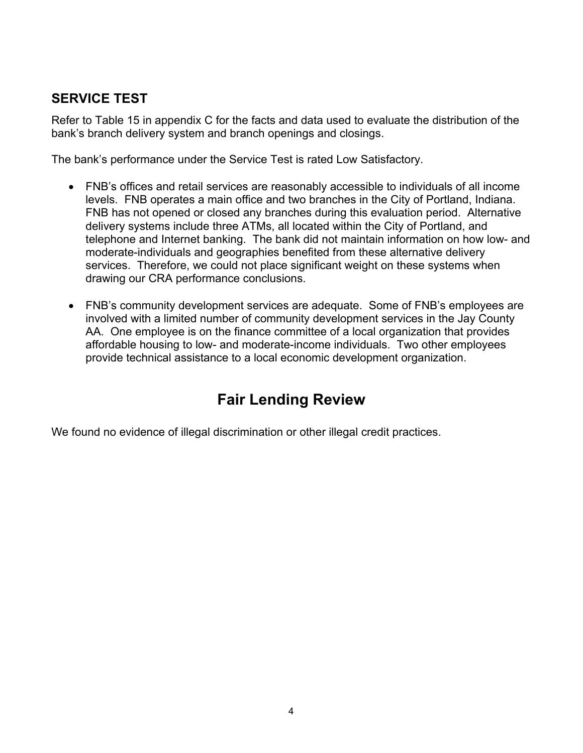### <span id="page-5-0"></span>**SERVICE TEST**

Refer to Table 15 in appendix C for the facts and data used to evaluate the distribution of the bank's branch delivery system and branch openings and closings.

The bank's performance under the Service Test is rated Low Satisfactory.

- FNB's offices and retail services are reasonably accessible to individuals of all income levels. FNB operates a main office and two branches in the City of Portland, Indiana. FNB has not opened or closed any branches during this evaluation period. Alternative delivery systems include three ATMs, all located within the City of Portland, and telephone and Internet banking. The bank did not maintain information on how low- and moderate-individuals and geographies benefited from these alternative delivery services. Therefore, we could not place significant weight on these systems when drawing our CRA performance conclusions.
- FNB's community development services are adequate. Some of FNB's employees are involved with a limited number of community development services in the Jay County AA. One employee is on the finance committee of a local organization that provides affordable housing to low- and moderate-income individuals. Two other employees provide technical assistance to a local economic development organization.

# **Fair Lending Review**

We found no evidence of illegal discrimination or other illegal credit practices.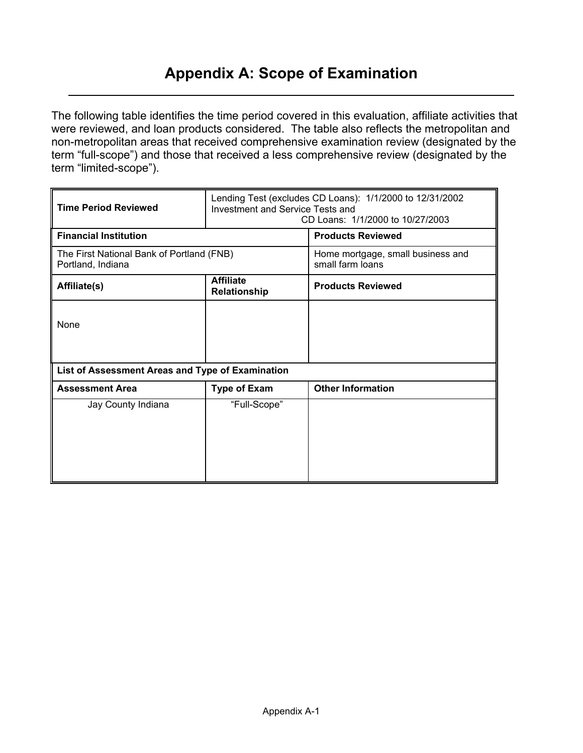# **Appendix A: Scope of Examination**

<span id="page-6-0"></span>The following table identifies the time period covered in this evaluation, affiliate activities that were reviewed, and loan products considered. The table also reflects the metropolitan and non-metropolitan areas that received comprehensive examination review (designated by the term "full-scope") and those that received a less comprehensive review (designated by the term "limited-scope").

| <b>Time Period Reviewed</b>                                    | Lending Test (excludes CD Loans): 1/1/2000 to 12/31/2002<br>Investment and Service Tests and<br>CD Loans: 1/1/2000 to 10/27/2003 |                                                       |  |  |  |  |
|----------------------------------------------------------------|----------------------------------------------------------------------------------------------------------------------------------|-------------------------------------------------------|--|--|--|--|
| <b>Financial Institution</b>                                   |                                                                                                                                  | <b>Products Reviewed</b>                              |  |  |  |  |
| The First National Bank of Portland (FNB)<br>Portland, Indiana |                                                                                                                                  | Home mortgage, small business and<br>small farm loans |  |  |  |  |
| Affiliate(s)                                                   | <b>Affiliate</b><br>Relationship                                                                                                 | <b>Products Reviewed</b>                              |  |  |  |  |
| None                                                           |                                                                                                                                  |                                                       |  |  |  |  |
| List of Assessment Areas and Type of Examination               |                                                                                                                                  |                                                       |  |  |  |  |
| <b>Assessment Area</b>                                         | <b>Type of Exam</b>                                                                                                              | <b>Other Information</b>                              |  |  |  |  |
| Jay County Indiana                                             | "Full-Scope"                                                                                                                     |                                                       |  |  |  |  |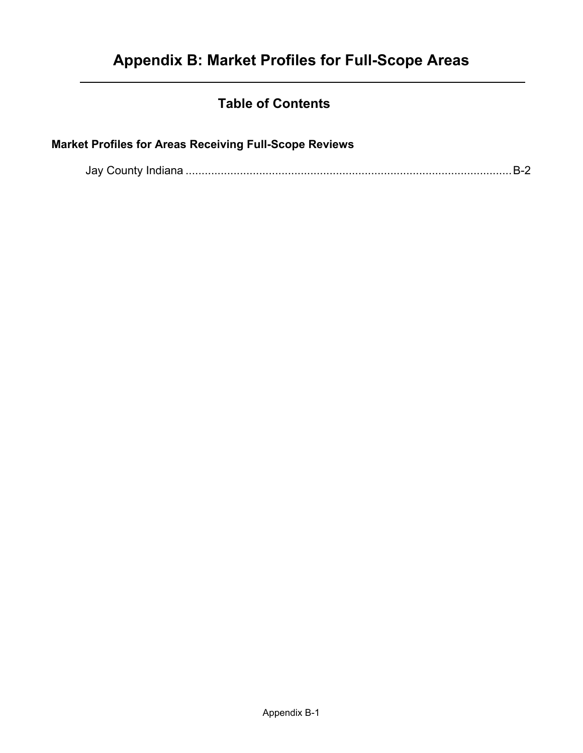### **Table of Contents**

### <span id="page-7-0"></span>**Market Profiles for Areas Receiving Full-Scope Reviews**

|--|--|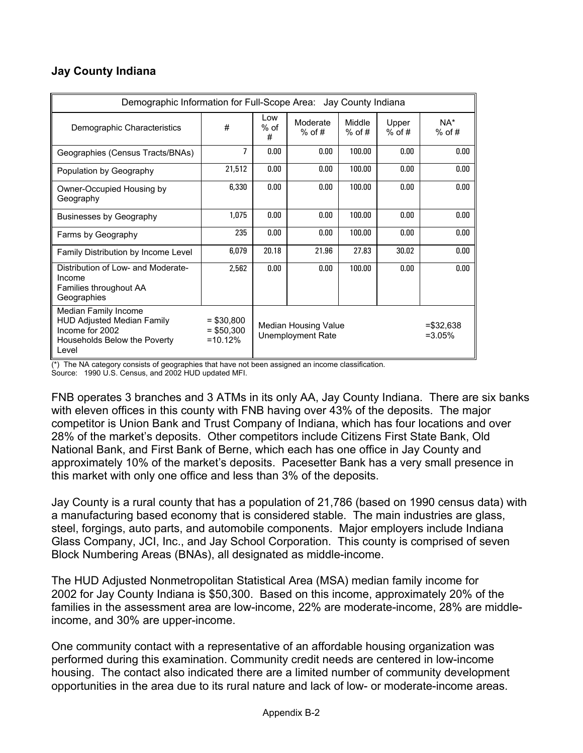### <span id="page-8-0"></span>**Jay County Indiana**

| Demographic Information for Full-Scope Area: Jay County Indiana                                                       |                                           |                                           |                      |                    |                   |                 |  |  |  |  |  |
|-----------------------------------------------------------------------------------------------------------------------|-------------------------------------------|-------------------------------------------|----------------------|--------------------|-------------------|-----------------|--|--|--|--|--|
| Demographic Characteristics                                                                                           | #                                         | Low<br>$%$ of<br>#                        | Moderate<br>$%$ of # | Middle<br>$%$ of # | Upper<br>$%$ of # | NA*<br>$%$ of # |  |  |  |  |  |
| Geographies (Census Tracts/BNAs)                                                                                      | 7                                         | 0.00                                      | 0.00                 | 100.00             | 0.00              | 0.00            |  |  |  |  |  |
| Population by Geography                                                                                               | 21,512                                    | 0.00                                      | 0.00                 | 100.00             | 0.00              | 0.00            |  |  |  |  |  |
| Owner-Occupied Housing by<br>Geography                                                                                | 6,330                                     | 0.00                                      | 0.00                 | 100.00             | 0.00              | 0.00            |  |  |  |  |  |
| Businesses by Geography                                                                                               | 1,075                                     | 0.00                                      | 0.00                 | 100.00             | 0.00              | 0.00            |  |  |  |  |  |
| Farms by Geography                                                                                                    | 235                                       | 0.00                                      | 0.00                 | 100.00             | 0.00              | 0.00            |  |  |  |  |  |
| Family Distribution by Income Level                                                                                   | 6,079                                     | 20.18                                     | 21.96                | 27.83              | 30.02             | 0.00            |  |  |  |  |  |
| Distribution of Low- and Moderate-<br>Income<br>Families throughout AA<br>Geographies                                 | 2,562                                     | 0.00                                      | 0.00                 | 100.00             | 0.00              | 0.00            |  |  |  |  |  |
| Median Family Income<br><b>HUD Adjusted Median Family</b><br>Income for 2002<br>Households Below the Poverty<br>Level | $=$ \$30,800<br>$=$ \$50,300<br>$=10.12%$ | Median Housing Value<br>Unemployment Rate |                      |                    |                   |                 |  |  |  |  |  |

(\*) The NA category consists of geographies that have not been assigned an income classification.

Source: 1990 U.S. Census, and 2002 HUD updated MFI.

FNB operates 3 branches and 3 ATMs in its only AA, Jay County Indiana. There are six banks with eleven offices in this county with FNB having over 43% of the deposits. The major competitor is Union Bank and Trust Company of Indiana, which has four locations and over 28% of the market's deposits. Other competitors include Citizens First State Bank, Old National Bank, and First Bank of Berne, which each has one office in Jay County and approximately 10% of the market's deposits. Pacesetter Bank has a very small presence in this market with only one office and less than 3% of the deposits.

Jay County is a rural county that has a population of 21,786 (based on 1990 census data) with a manufacturing based economy that is considered stable. The main industries are glass, steel, forgings, auto parts, and automobile components. Major employers include Indiana Glass Company, JCI, Inc., and Jay School Corporation. This county is comprised of seven Block Numbering Areas (BNAs), all designated as middle-income.

The HUD Adjusted Nonmetropolitan Statistical Area (MSA) median family income for 2002 for Jay County Indiana is \$50,300. Based on this income, approximately 20% of the families in the assessment area are low-income, 22% are moderate-income, 28% are middleincome, and 30% are upper-income.

One community contact with a representative of an affordable housing organization was performed during this examination. Community credit needs are centered in low-income housing. The contact also indicated there are a limited number of community development opportunities in the area due to its rural nature and lack of low- or moderate-income areas.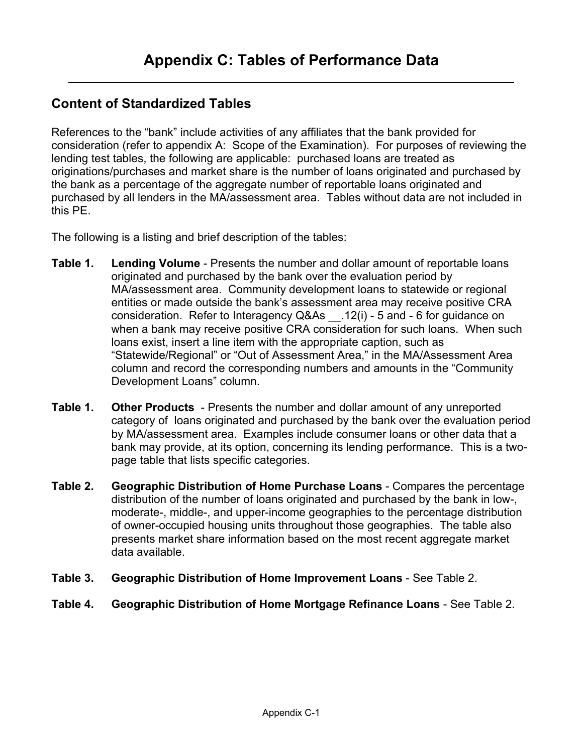### <span id="page-9-0"></span>**Content of Standardized Tables**

References to the "bank" include activities of any affiliates that the bank provided for consideration (refer to appendix A: Scope of the Examination). For purposes of reviewing the lending test tables, the following are applicable: purchased loans are treated as originations/purchases and market share is the number of loans originated and purchased by the bank as a percentage of the aggregate number of reportable loans originated and purchased by all lenders in the MA/assessment area. Tables without data are not included in this PE.

The following is a listing and brief description of the tables:

- **Table 1. Lending Volume** Presents the number and dollar amount of reportable loans originated and purchased by the bank over the evaluation period by MA/assessment area. Community development loans to statewide or regional entities or made outside the bank's assessment area may receive positive CRA consideration. Refer to Interagency Q&As \_\_.12(i) - 5 and - 6 for guidance on when a bank may receive positive CRA consideration for such loans. When such loans exist, insert a line item with the appropriate caption, such as "Statewide/Regional" or "Out of Assessment Area," in the MA/Assessment Area column and record the corresponding numbers and amounts in the "Community Development Loans" column.
- **Table 1. Other Products**  Presents the number and dollar amount of any unreported category of loans originated and purchased by the bank over the evaluation period by MA/assessment area. Examples include consumer loans or other data that a bank may provide, at its option, concerning its lending performance. This is a twopage table that lists specific categories.
- **Table 2. Geographic Distribution of Home Purchase Loans** Compares the percentage distribution of the number of loans originated and purchased by the bank in low-, moderate-, middle-, and upper-income geographies to the percentage distribution of owner-occupied housing units throughout those geographies. The table also presents market share information based on the most recent aggregate market data available.
- **Table 3. Geographic Distribution of Home Improvement Loans** See Table 2.
- **Table 4. Geographic Distribution of Home Mortgage Refinance Loans** See Table 2.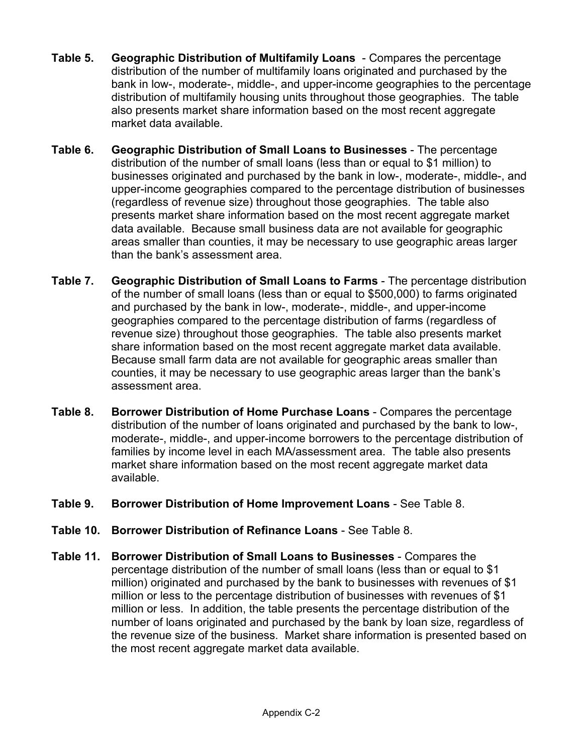- **Table 5. Geographic Distribution of Multifamily Loans** Compares the percentage distribution of the number of multifamily loans originated and purchased by the bank in low-, moderate-, middle-, and upper-income geographies to the percentage distribution of multifamily housing units throughout those geographies. The table also presents market share information based on the most recent aggregate market data available.
- **Table 6. Geographic Distribution of Small Loans to Businesses** The percentage distribution of the number of small loans (less than or equal to \$1 million) to businesses originated and purchased by the bank in low-, moderate-, middle-, and upper-income geographies compared to the percentage distribution of businesses (regardless of revenue size) throughout those geographies. The table also presents market share information based on the most recent aggregate market data available. Because small business data are not available for geographic areas smaller than counties, it may be necessary to use geographic areas larger than the bank's assessment area.
- **Table 7. Geographic Distribution of Small Loans to Farms** The percentage distribution of the number of small loans (less than or equal to \$500,000) to farms originated and purchased by the bank in low-, moderate-, middle-, and upper-income geographies compared to the percentage distribution of farms (regardless of revenue size) throughout those geographies. The table also presents market share information based on the most recent aggregate market data available. Because small farm data are not available for geographic areas smaller than counties, it may be necessary to use geographic areas larger than the bank's assessment area.
- **Table 8. Borrower Distribution of Home Purchase Loans** Compares the percentage distribution of the number of loans originated and purchased by the bank to low-, moderate-, middle-, and upper-income borrowers to the percentage distribution of families by income level in each MA/assessment area. The table also presents market share information based on the most recent aggregate market data available.
- **Table 9. Borrower Distribution of Home Improvement Loans** See Table 8.
- **Table 10. Borrower Distribution of Refinance Loans** See Table 8.
- **Table 11. Borrower Distribution of Small Loans to Businesses** Compares the percentage distribution of the number of small loans (less than or equal to \$1 million) originated and purchased by the bank to businesses with revenues of \$1 million or less to the percentage distribution of businesses with revenues of \$1 million or less. In addition, the table presents the percentage distribution of the number of loans originated and purchased by the bank by loan size, regardless of the revenue size of the business. Market share information is presented based on the most recent aggregate market data available.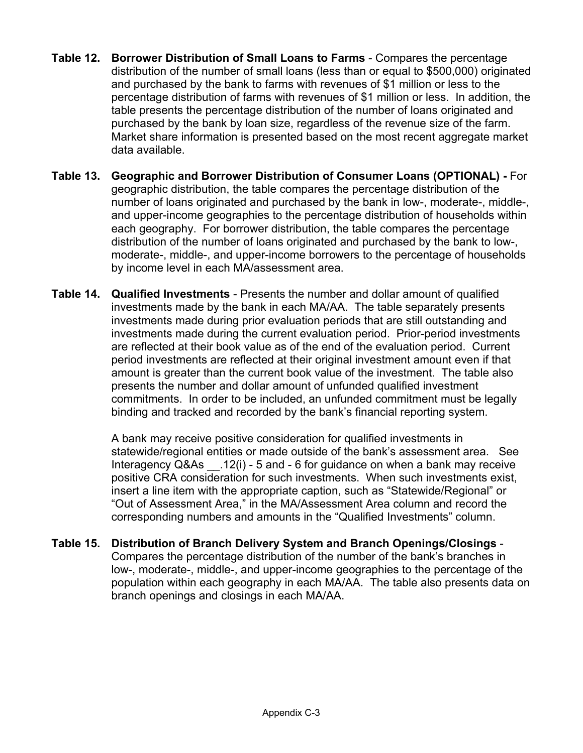- **Table 12. Borrower Distribution of Small Loans to Farms** Compares the percentage distribution of the number of small loans (less than or equal to \$500,000) originated and purchased by the bank to farms with revenues of \$1 million or less to the percentage distribution of farms with revenues of \$1 million or less. In addition, the table presents the percentage distribution of the number of loans originated and purchased by the bank by loan size, regardless of the revenue size of the farm. Market share information is presented based on the most recent aggregate market data available.
- **Table 13. Geographic and Borrower Distribution of Consumer Loans (OPTIONAL)** For geographic distribution, the table compares the percentage distribution of the number of loans originated and purchased by the bank in low-, moderate-, middle-, and upper-income geographies to the percentage distribution of households within each geography. For borrower distribution, the table compares the percentage distribution of the number of loans originated and purchased by the bank to low-, moderate-, middle-, and upper-income borrowers to the percentage of households by income level in each MA/assessment area.
- **Table 14. Qualified Investments** Presents the number and dollar amount of qualified investments made by the bank in each MA/AA. The table separately presents investments made during prior evaluation periods that are still outstanding and investments made during the current evaluation period. Prior-period investments are reflected at their book value as of the end of the evaluation period. Current period investments are reflected at their original investment amount even if that amount is greater than the current book value of the investment. The table also presents the number and dollar amount of unfunded qualified investment commitments. In order to be included, an unfunded commitment must be legally binding and tracked and recorded by the bank's financial reporting system.

A bank may receive positive consideration for qualified investments in statewide/regional entities or made outside of the bank's assessment area. See Interagency Q&As \_\_.12(i) - 5 and - 6 for guidance on when a bank may receive positive CRA consideration for such investments. When such investments exist, insert a line item with the appropriate caption, such as "Statewide/Regional" or "Out of Assessment Area," in the MA/Assessment Area column and record the corresponding numbers and amounts in the "Qualified Investments" column.

**Table 15. Distribution of Branch Delivery System and Branch Openings/Closings** - Compares the percentage distribution of the number of the bank's branches in low-, moderate-, middle-, and upper-income geographies to the percentage of the population within each geography in each MA/AA. The table also presents data on branch openings and closings in each MA/AA.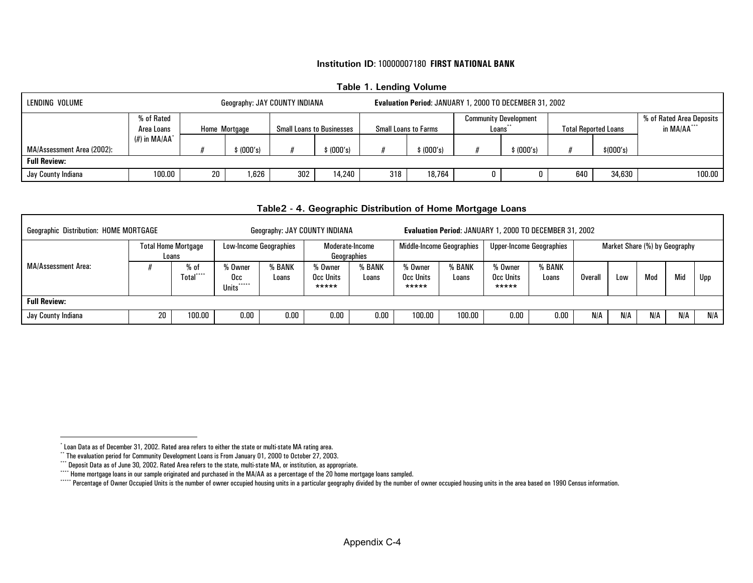#### **Table 1. Lending Volume**

<span id="page-12-5"></span><span id="page-12-4"></span><span id="page-12-3"></span><span id="page-12-2"></span><span id="page-12-1"></span>

| LENDING VOLUME<br>Geography: JAY COUNTY INDIANA |                            |    |               |                                  |         |                             | Evaluation Period: JANUARY 1, 2000 TO DECEMBER 31, 2002 |         |         |                             |            |                          |  |  |
|-------------------------------------------------|----------------------------|----|---------------|----------------------------------|---------|-----------------------------|---------------------------------------------------------|---------|---------|-----------------------------|------------|--------------------------|--|--|
|                                                 | % of Rated                 |    |               |                                  |         |                             | <b>Community Development</b>                            |         |         |                             |            | % of Rated Area Deposits |  |  |
|                                                 | Area Loans                 |    | Home Mortgage | <b>Small Loans to Businesses</b> |         | <b>Small Loans to Farms</b> |                                                         | Loans** |         | <b>Total Reported Loans</b> |            | in MA/AA***              |  |  |
|                                                 | $(\#)$ in MA/AA $^{\circ}$ |    |               |                                  |         |                             |                                                         |         |         |                             |            |                          |  |  |
| MA/Assessment Area (2002):                      |                            |    | \$(000's)     |                                  | (000's) |                             | \$ (000's)                                              |         | (000's) |                             | \$ (000's) |                          |  |  |
| <b>Full Review:</b>                             |                            |    |               |                                  |         |                             |                                                         |         |         |                             |            |                          |  |  |
| Jay County Indiana                              | 100.00                     | 20 | .626          | 302                              | 14.240  | 318                         | 18.764                                                  | 0       |         | 640                         | 34,630     | 100.00                   |  |  |

#### **Table2 - 4. Geographic Distribution of Home Mortgage Loans**

<span id="page-12-0"></span>

| <b>Geographic Distribution: HOME MORTGAGE</b> |                                     |                    |                                                |                 | Geography: JAY COUNTY INDIANA  |                 | Evaluation Period: JANUARY 1, 2000 TO DECEMBER 31, 2002 |                 |                                 |                 |                               |     |     |     |     |
|-----------------------------------------------|-------------------------------------|--------------------|------------------------------------------------|-----------------|--------------------------------|-----------------|---------------------------------------------------------|-----------------|---------------------------------|-----------------|-------------------------------|-----|-----|-----|-----|
|                                               | <b>Total Home Mortgage</b><br>Loans |                    | <b>Low-Income Geographies</b>                  |                 | Moderate-Income<br>Geographies |                 | Middle-Income Geographies                               |                 | <b>Upper-Income Geographies</b> |                 | Market Share (%) by Geography |     |     |     |     |
| <b>MA/Assessment Area:</b>                    |                                     | % of<br>Total***** | % Owner<br>Occ.<br>*****<br>Units <sup>®</sup> | % BANK<br>Loans | % Owner<br>Occ Units<br>*****  | % BANK<br>Loans | % Owner<br>Occ Units<br>*****                           | % BANK<br>Loans | 'o Owner<br>Occ Units<br>*****  | % BANK<br>Loans | Overall                       | Low | Mod | Mid | Upp |
| <b>Full Review:</b>                           |                                     |                    |                                                |                 |                                |                 |                                                         |                 |                                 |                 |                               |     |     |     |     |
| Jay County Indiana                            |                                     | 100.00             | 0.00                                           | 0.00            | 0.00                           | 0.00            | 100.00                                                  | 100.00          | 0.00                            | 0.00            | N/A                           | N/A | N/A | N/A | N/A |

Г

<sup>\*</sup> Loan Data as of December 31, 2002. Rated area refers to either the state or multi-state MA rating area.

<sup>\*\*</sup> The evaluation period for Community Development Loans is From January 01, 2000 to October 27, 2003.

<sup>\*\*\*\*</sup> Deposit Data as of June 30, 2002. Rated Area refers to the state, multi-state MA, or institution, as appropriate.

<sup>\*\*\*\*\*</sup> Home mortgage loans in our sample originated and purchased in the MA/AA as a percentage of the 20 home mortgage loans sampled.

<sup>\*\*\*\*\*\*</sup> Percentage of Owner Occupied Units is the number of owner occupied housing units in a particular geography divided by the number of owner occupied housing units in the area based on 1990 Census information.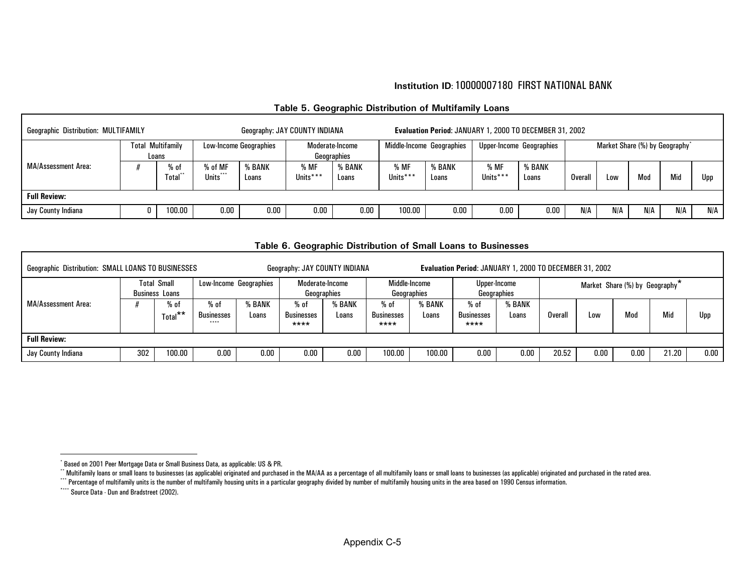<span id="page-13-6"></span><span id="page-13-5"></span><span id="page-13-4"></span><span id="page-13-3"></span><span id="page-13-1"></span><span id="page-13-0"></span>

| <b>Geographic Distribution: MULTIFAMILY</b> |                          |                         |                               | Geography: JAY COUNTY INDIANA |                  |                                | Evaluation Period: JANUARY 1, 2000 TO DECEMBER 31, 2002 |                 |                  |                          |         |                                            |     |     |     |
|---------------------------------------------|--------------------------|-------------------------|-------------------------------|-------------------------------|------------------|--------------------------------|---------------------------------------------------------|-----------------|------------------|--------------------------|---------|--------------------------------------------|-----|-----|-----|
|                                             | <b>Total Multifamily</b> | Loans                   | <b>Low-Income Geographies</b> |                               |                  | Moderate-Income<br>Geographies | Middle-Income Geographies                               |                 |                  | Upper-Income Geographies |         | Market Share (%) by Geography <sup>*</sup> |     |     |     |
| <b>MA/Assessment Area:</b>                  |                          | % of<br><b>fotal</b> ** | % of MF<br>Units***           | % BANK<br>Loans               | % MF<br>Units*** | % BANK<br>Loans                | % MF<br>Units***                                        | % BANK<br>Loans | % MF<br>Units*** | % BANK<br>Loans          | Overall | Low                                        | Mod | Mid | Upp |
| <b>Full Review:</b>                         |                          |                         |                               |                               |                  |                                |                                                         |                 |                  |                          |         |                                            |     |     |     |
| Jay County Indiana                          |                          | 100.00                  | $0.00\,$                      | 0.00                          | 0.00             | 0.00                           | 100.00                                                  | 0.00            | 0.00             | $0.00\,$                 | N/A     | N/A                                        | N/A | N/A | N/A |

#### **Table 5. Geographic Distribution of Multifamily Loans**

#### **Table 6. Geographic Distribution of Small Loans to Businesses**

<span id="page-13-2"></span>

| Geographic Distribution: SMALL LOANS TO BUSINESSES<br>Geography: JAY COUNTY INDIANA |     |                                             |                                        |                        |                                   |                 |                                   |                 |                                     | Evaluation Period: JANUARY 1, 2000 TO DECEMBER 31, 2002 |         |      |                                |       |      |  |
|-------------------------------------------------------------------------------------|-----|---------------------------------------------|----------------------------------------|------------------------|-----------------------------------|-----------------|-----------------------------------|-----------------|-------------------------------------|---------------------------------------------------------|---------|------|--------------------------------|-------|------|--|
|                                                                                     |     | <b>Total Small</b><br><b>Business Loans</b> |                                        | Low-Income Geographies | Moderate-Income<br>Geographies    |                 | Middle-Income                     | Geographies     | Geographies                         | Upper-Income                                            |         |      | Market Share (%) by Geography* |       |      |  |
| MA/Assessment Area:                                                                 |     | $%$ of<br>Total <sup>**</sup>               | % of<br><b>Businesses</b><br>$* * * *$ | <b>BANK</b><br>Loans   | % of<br><b>Businesses</b><br>**** | % BANK<br>Loans | % of<br><b>Businesses</b><br>**** | % BANK<br>Loans | $%$ of<br><b>Businesses</b><br>**** | % BANK<br>Loans                                         | Overall | Low  | Mod                            | Mid   | Upp  |  |
| <b>Full Review:</b>                                                                 |     |                                             |                                        |                        |                                   |                 |                                   |                 |                                     |                                                         |         |      |                                |       |      |  |
| Jay County Indiana                                                                  | 302 | 100.00                                      | 0.00                                   | $0.00\,$               | 0.00                              | 0.00            | 100.00                            | 100.00          | 0.00                                | 0.00                                                    | 20.52   | 0.00 | 0.00                           | 21.20 | 0.00 |  |

<sup>\*</sup> Based on 2001 Peer Mortgage Data or Small Business Data, as applicable: US & PR.

<sup>\*\*</sup> Multifamily loans or small loans to businesses (as applicable) originated and purchased in the MA/AA as a percentage of all multifamily loans or small loans to businesses (as applicable) originated and purchased in the

<sup>\*\*\*\*</sup> Percentage of multifamily units is the number of multifamily housing units in a particular geography divided by number of multifamily housing units in the area based on 1990 Census information.

<sup>\*\*\*\*</sup> Source Data - Dun and Bradstreet (2002).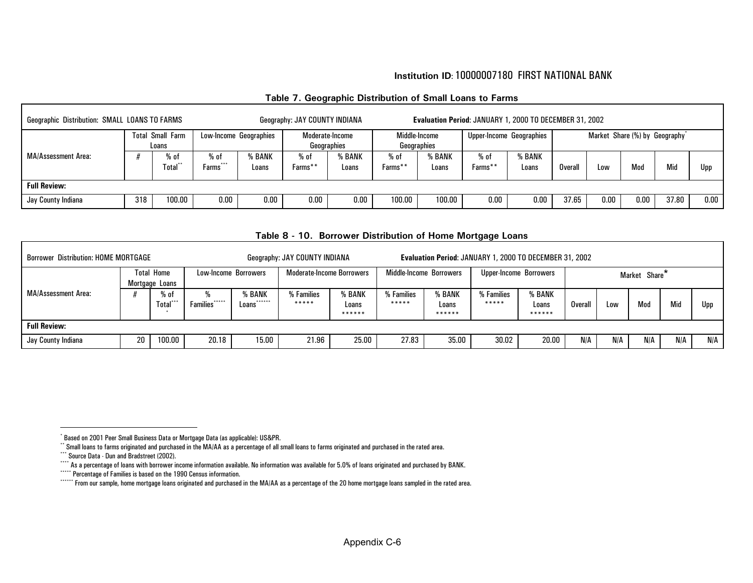#### <span id="page-14-2"></span><span id="page-14-1"></span>**Table 7. Geographic Distribution of Small Loans to Farms**

<span id="page-14-6"></span><span id="page-14-5"></span><span id="page-14-4"></span><span id="page-14-3"></span><span id="page-14-0"></span>

| Geographic Distribution: SMALL LOANS TO FARMS<br>Geography: JAY COUNTY INDIANA |     |                                  |                        |                        |                 |                                |                   | Evaluation Period: JANUARY 1, 2000 TO DECEMBER 31, 2002 |                 |                          |         |            |                                            |       |      |  |
|--------------------------------------------------------------------------------|-----|----------------------------------|------------------------|------------------------|-----------------|--------------------------------|-------------------|---------------------------------------------------------|-----------------|--------------------------|---------|------------|--------------------------------------------|-------|------|--|
|                                                                                |     | <b>Total Small Farm</b><br>Loans |                        | Low-Income Geographies |                 | Moderate-Income<br>Geographies | Middle-Income     | Geographies                                             |                 | Upper-Income Geographies |         |            | Market Share (%) by Geography <sup>*</sup> |       |      |  |
| MA/Assessment Area:                                                            |     | $%$ of<br>Total**                | $%$ of<br>***<br>Farms | % BANK<br>Loans        | % of<br>Farms** | % BANK<br>Loans                | $%$ of<br>Farms** | % BANK<br>Loans                                         | % of<br>Farms** | <b>BANK</b><br>Loans     | Overall | <b>Low</b> | Mod                                        | Mid   | Upp  |  |
| <b>Full Review:</b>                                                            |     |                                  |                        |                        |                 |                                |                   |                                                         |                 |                          |         |            |                                            |       |      |  |
| Jay County Indiana                                                             | 318 | 100.00                           | 0.00                   | $0.00\,$               | 0.00            | 0.00                           | 100.00            | 100.00                                                  | 0.00            | 0.00                     | 37.65   | 0.00       | 0.00                                       | 37.80 | 0.00 |  |

|                            |                                                                                                                                                                                                                                                                               |                |                               |                           | Table 8 - 10. Borrower Distribution of Home Mortgage Loans |                           |                     |                           |                     |                           |         |     |               |     |     |
|----------------------------|-------------------------------------------------------------------------------------------------------------------------------------------------------------------------------------------------------------------------------------------------------------------------------|----------------|-------------------------------|---------------------------|------------------------------------------------------------|---------------------------|---------------------|---------------------------|---------------------|---------------------------|---------|-----|---------------|-----|-----|
|                            | <b>Borrower Distribution: HOME MORTGAGE</b><br>Geography: JAY COUNTY INDIANA<br>Evaluation Period: JANUARY 1, 2000 TO DECEMBER 31, 2002<br><b>Total Home</b><br><b>Moderate-Income Borrowers</b><br>Middle-Income Borrowers<br>Upper-Income Borrowers<br>Low-Income Borrowers |                |                               |                           |                                                            |                           |                     |                           |                     |                           |         |     |               |     |     |
|                            |                                                                                                                                                                                                                                                                               | Mortgage Loans |                               |                           |                                                            |                           |                     |                           |                     |                           |         |     | Market Share* |     |     |
| <b>MA/Assessment Area:</b> |                                                                                                                                                                                                                                                                               | % of<br>Total  | %<br>*****<br><b>Families</b> | % BANK<br>******<br>Loans | % Families<br>*****                                        | % BANK<br>Loans<br>****** | % Families<br>***** | % BANK<br>Loans<br>****** | % Families<br>***** | % BANK<br>Loans<br>****** | Overall | Low | Mod           | Mid | Upp |
| <b>Full Review:</b>        |                                                                                                                                                                                                                                                                               |                |                               |                           |                                                            |                           |                     |                           |                     |                           |         |     |               |     |     |
| Jay County Indiana         | 20                                                                                                                                                                                                                                                                            | 100.00         | 20.18                         | 15.00                     | 21.96                                                      | 25.00                     | 27.83               | 35.00                     | 30.02               | 20.00                     | N/A     | N/A | N/A           | N/A | N/A |

<sup>\*</sup> Based on 2001 Peer Small Business Data or Mortgage Data (as applicable): US&PR.

 $^{\circ}$  Small loans to farms originated and purchased in the MA/AA as a percentage of all small loans to farms originated and purchased in the rated area.

<sup>\*\*\*</sup> Source Data - Dun and Bradstreet (2002).

<sup>\*\*\*\*</sup> As a percentage of loans with borrower income information available. No information was available for 5.0% of loans originated and purchased by BANK.

<sup>\*\*\*\*\*</sup> Percentage of Families is based on the 1990 Census information.

<sup>\*\*\*\*\*\*</sup> From our sample, home mortgage loans originated and purchased in the MA/AA as a percentage of the 20 home mortgage loans sampled in the rated area.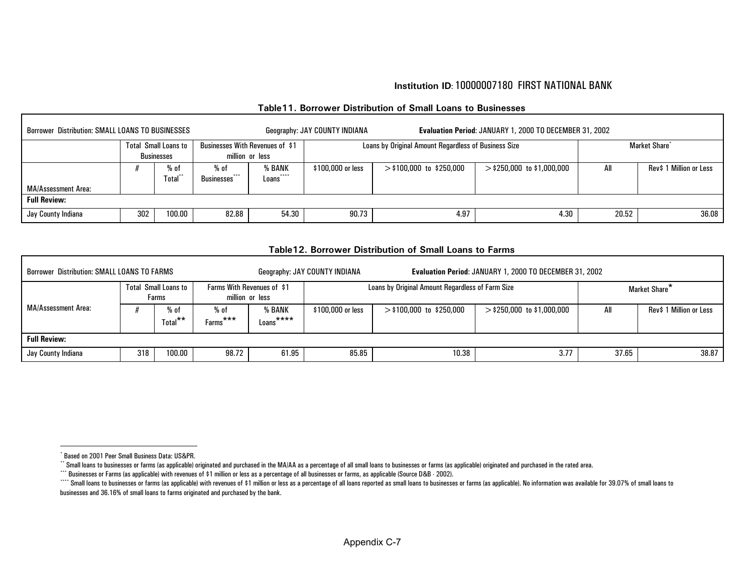| Table 11. Borrower Distribution of Small Loans to Businesses |  |  |  |  |  |  |
|--------------------------------------------------------------|--|--|--|--|--|--|
|--------------------------------------------------------------|--|--|--|--|--|--|

<span id="page-15-5"></span><span id="page-15-4"></span><span id="page-15-3"></span><span id="page-15-2"></span><span id="page-15-1"></span><span id="page-15-0"></span>

| <b>Borrower Distribution: SMALL LOANS TO BUSINESSES</b> |     |                                                  |                                         |                                                    | Geography: JAY COUNTY INDIANA |                                                      | Evaluation Period: JANUARY 1, 2000 TO DECEMBER 31, 2002 |                           |                         |  |  |  |
|---------------------------------------------------------|-----|--------------------------------------------------|-----------------------------------------|----------------------------------------------------|-------------------------------|------------------------------------------------------|---------------------------------------------------------|---------------------------|-------------------------|--|--|--|
|                                                         |     | <b>Total Small Loans to</b><br><b>Businesses</b> |                                         | Businesses With Revenues of \$1<br>million or less |                               | Loans by Original Amount Regardless of Business Size |                                                         | Market Share <sup>*</sup> |                         |  |  |  |
| MA/Assessment Area:                                     |     | % of<br>Total**                                  | $%$ of<br>$$<br>Businesses <sup>®</sup> | % BANK<br>****<br>Loans                            | \$100,000 or less             | $>$ \$100,000 to \$250,000                           | $>$ \$250,000 to \$1,000,000                            | All                       | Rev\$ 1 Million or Less |  |  |  |
| <b>Full Review:</b>                                     |     |                                                  |                                         |                                                    |                               |                                                      |                                                         |                           |                         |  |  |  |
| Jay County Indiana                                      | 302 | 100.00                                           | 82.88                                   | 54.30                                              | 90.73                         | 4.97                                                 | 4.30                                                    | 20.52                     | 36.08                   |  |  |  |

#### **Table12. Borrower Distribution of Small Loans to Farms**

| <b>Borrower Distribution: SMALL LOANS TO FARMS</b> |                                      |                      |                                                      |                                 | Geography: JAY COUNTY INDIANA | Evaluation Period: JANUARY 1, 2000 TO DECEMBER 31, 2002 |                              |       |                           |  |  |  |
|----------------------------------------------------|--------------------------------------|----------------------|------------------------------------------------------|---------------------------------|-------------------------------|---------------------------------------------------------|------------------------------|-------|---------------------------|--|--|--|
| MA/Assessment Area:                                | <b>Total Small Loans to</b><br>Farms |                      | <b>Farms With Revenues of \$1</b><br>million or less |                                 |                               | Loans by Original Amount Regardless of Farm Size        |                              |       | Market Share <sup>*</sup> |  |  |  |
|                                                    |                                      | $%$ of<br>$Total***$ | % of<br>$***$<br>Farms'                              | <b>6 BANK</b><br>****<br>Loans' | \$100,000 or less             | $>$ \$100,000 to \$250,000                              | $>$ \$250,000 to \$1,000,000 | All   | Rev\$ 1 Million or Less   |  |  |  |
| <b>Full Review:</b>                                |                                      |                      |                                                      |                                 |                               |                                                         |                              |       |                           |  |  |  |
| Jay County Indiana                                 | 318                                  | 100.00               | 98.72                                                | 61.95                           | 85.85                         | 10.38                                                   | 3.77                         | 37.65 | 38.87                     |  |  |  |

<sup>\*</sup> Based on 2001 Peer Small Business Data: US&PR.

<sup>\*\*</sup> Small loans to businesses or farms (as applicable) originated and purchased in the MA/AA as a percentage of all small loans to businesses or farms (as applicable) originated and purchased in the rated area.

<sup>\*\*\*</sup> Businesses or Farms (as applicable) with revenues of \$1 million or less as a percentage of all businesses or farms, as applicable (Source D&B - 2002).

<sup>&</sup>quot;" Small loans to businesses or farms (as applicable) with revenues of \$1 million or less as a percentage of all loans reported as small loans to businesses or farms (as applicable). No information was available for 39.07% businesses and 36.16% of small loans to farms originated and purchased by the bank.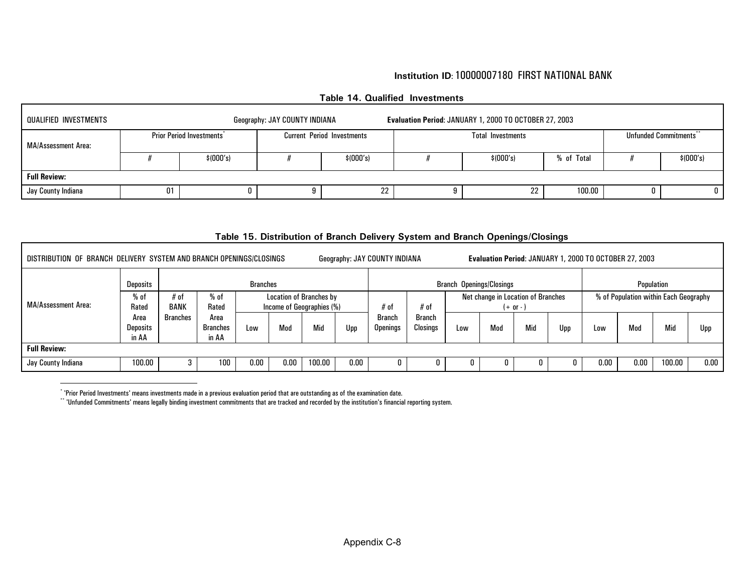#### <span id="page-16-1"></span><span id="page-16-0"></span>**Table 14. Qualified Investments**

| QUALIFIED INVESTMENTS<br>Evaluation Period: JANUARY 1, 2000 TO OCTOBER 27, 2003<br>Geography: JAY COUNTY INDIANA |           |                                 |  |                                   |            |                          |                                    |  |           |  |  |  |
|------------------------------------------------------------------------------------------------------------------|-----------|---------------------------------|--|-----------------------------------|------------|--------------------------|------------------------------------|--|-----------|--|--|--|
| MA/Assessment Area:                                                                                              |           | <b>Prior Period Investments</b> |  | <b>Current Period Investments</b> |            | <b>Total Investments</b> | Unfunded Commitments <sup>**</sup> |  |           |  |  |  |
|                                                                                                                  | \$(000's) |                                 |  | \$ (000's)                        | \$ (000's) |                          | % of Total                         |  | \$(000's) |  |  |  |
| <b>Full Review:</b>                                                                                              |           |                                 |  |                                   |            |                          |                                    |  |           |  |  |  |
| Jay County Indiana                                                                                               | 01        |                                 |  | ິ<br>22                           |            | 22                       | 100.00                             |  |           |  |  |  |

#### **Table 15. Distribution of Branch Delivery System and Branch Openings/Closings**

| DISTRIBUTION OF BRANCH DELIVERY SYSTEM AND BRANCH OPENINGS/CLOSINGS<br>Evaluation Period: JANUARY 1, 2000 TO OCTOBER 27, 2003<br>Geography: JAY COUNTY INDIANA |                                  |                                                                                                  |                           |          |      |        |      |                                  |                                                  |     |     |     |                                       |      |            |        |      |
|----------------------------------------------------------------------------------------------------------------------------------------------------------------|----------------------------------|--------------------------------------------------------------------------------------------------|---------------------------|----------|------|--------|------|----------------------------------|--------------------------------------------------|-----|-----|-----|---------------------------------------|------|------------|--------|------|
| <b>MA/Assessment Area:</b>                                                                                                                                     | <b>Deposits</b>                  | <b>Branches</b>                                                                                  |                           |          |      |        |      |                                  | <b>Branch Openings/Closings</b>                  |     |     |     |                                       |      | Population |        |      |
|                                                                                                                                                                | $%$ of<br>Rated                  | $%$ of<br>Location of Branches by<br>$#$ of<br><b>BANK</b><br>Income of Geographies (%)<br>Rated |                           |          |      |        | # of | # of                             | Net change in Location of Branches<br>$(+ or -)$ |     |     |     | % of Population within Each Geography |      |            |        |      |
|                                                                                                                                                                | Area<br><b>Deposits</b><br>in AA | <b>Branches</b>                                                                                  | Area<br>Branches<br>in AA | Low      | Mod  | Mid    | Upp  | <b>Branch</b><br><b>Openings</b> | Branch<br>Closings                               | Low | Mod | Mid | Upp                                   | Low  | Mod        | Mid    | Upp  |
| <b>Full Review:</b>                                                                                                                                            |                                  |                                                                                                  |                           |          |      |        |      |                                  |                                                  |     |     |     |                                       |      |            |        |      |
| Jay County Indiana                                                                                                                                             | 100.00                           |                                                                                                  | 100                       | $0.00\,$ | 0.00 | 100.00 | 0.00 |                                  | 0                                                |     |     |     |                                       | 0.00 | 0.00       | 100.00 | 0.00 |

<sup>\* &#</sup>x27;Prior Period Investments' means investments made in a previous evaluation period that are outstanding as of the examination date.

\*\* 'Unfunded Commitments' means legally binding investment commitments that are tracked and recorded by the institution's financial reporting system.